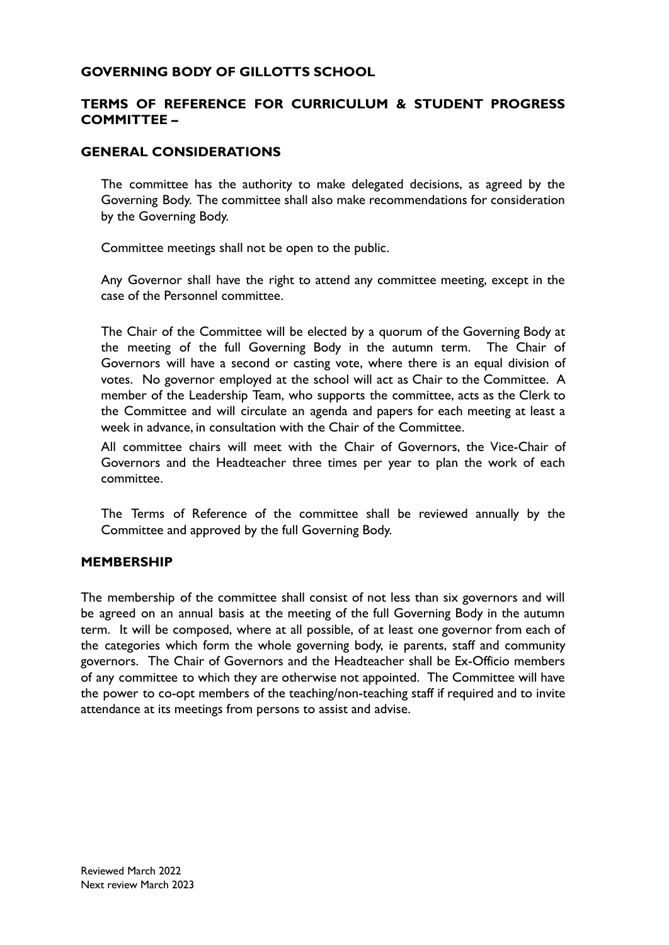### **GOVERNING BODY OF GILLOTTS SCHOOL**

## **TERMS OF REFERENCE FOR CURRICULUM & STUDENT PROGRESS COMMITTEE –**

### **GENERAL CONSIDERATIONS**

The committee has the authority to make delegated decisions, as agreed by the Governing Body. The committee shall also make recommendations for consideration by the Governing Body.

Committee meetings shall not be open to the public.

Any Governor shall have the right to attend any committee meeting, except in the case of the Personnel committee.

The Chair of the Committee will be elected by a quorum of the Governing Body at the meeting of the full Governing Body in the autumn term. The Chair of Governors will have a second or casting vote, where there is an equal division of votes. No governor employed at the school will act as Chair to the Committee. A member of the Leadership Team, who supports the committee, acts as the Clerk to the Committee and will circulate an agenda and papers for each meeting at least a week in advance, in consultation with the Chair of the Committee.

All committee chairs will meet with the Chair of Governors, the Vice-Chair of Governors and the Headteacher three times per year to plan the work of each committee.

The Terms of Reference of the committee shall be reviewed annually by the Committee and approved by the full Governing Body.

#### **MEMBERSHIP**

The membership of the committee shall consist of not less than six governors and will be agreed on an annual basis at the meeting of the full Governing Body in the autumn term. It will be composed, where at all possible, of at least one governor from each of the categories which form the whole governing body, ie parents, staff and community governors. The Chair of Governors and the Headteacher shall be Ex-Officio members of any committee to which they are otherwise not appointed. The Committee will have the power to co-opt members of the teaching/non-teaching staff if required and to invite attendance at its meetings from persons to assist and advise.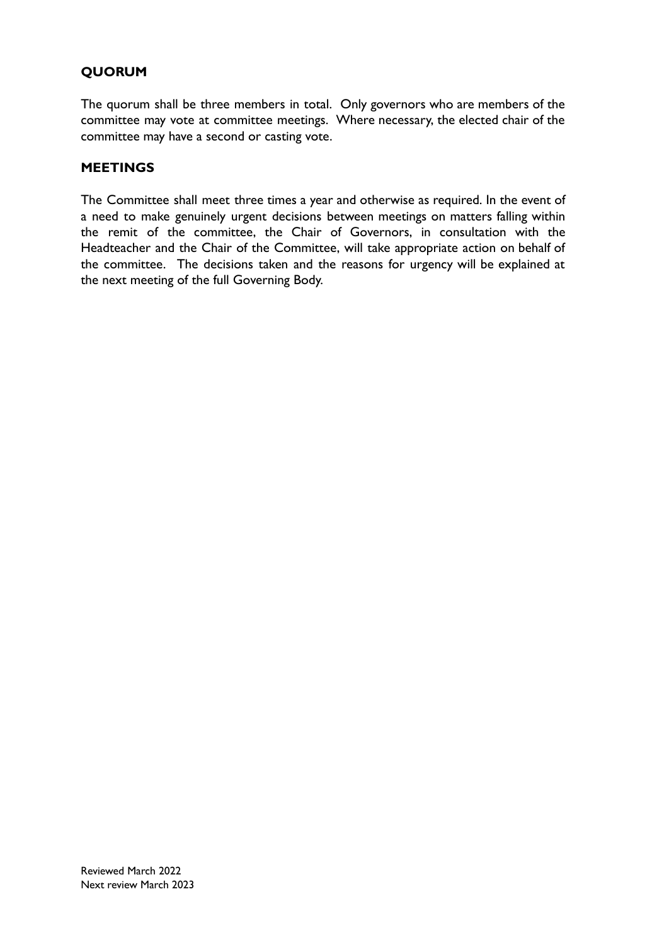# **QUORUM**

The quorum shall be three members in total. Only governors who are members of the committee may vote at committee meetings. Where necessary, the elected chair of the committee may have a second or casting vote.

### **MEETINGS**

The Committee shall meet three times a year and otherwise as required. In the event of a need to make genuinely urgent decisions between meetings on matters falling within the remit of the committee, the Chair of Governors, in consultation with the Headteacher and the Chair of the Committee, will take appropriate action on behalf of the committee. The decisions taken and the reasons for urgency will be explained at the next meeting of the full Governing Body.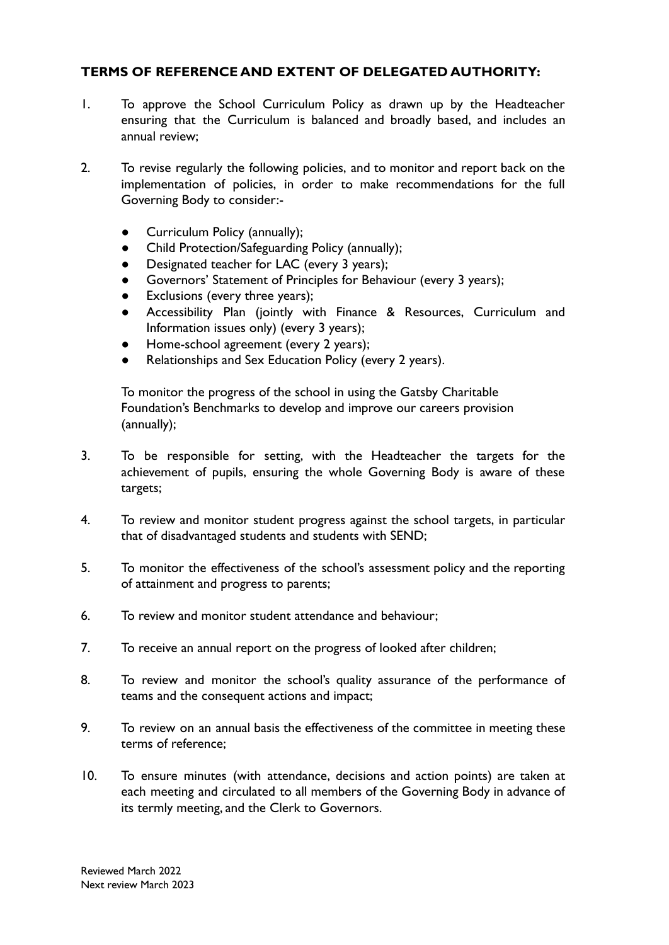## **TERMS OF REFERENCE AND EXTENT OF DELEGATED AUTHORITY:**

- 1. To approve the School Curriculum Policy as drawn up by the Headteacher ensuring that the Curriculum is balanced and broadly based, and includes an annual review;
- 2. To revise regularly the following policies, and to monitor and report back on the implementation of policies, in order to make recommendations for the full Governing Body to consider:-
	- Curriculum Policy (annually);
	- Child Protection/Safeguarding Policy (annually);
	- Designated teacher for LAC (every 3 years);
	- Governors' Statement of Principles for Behaviour (every 3 years);
	- Exclusions (every three years);
	- Accessibility Plan (jointly with Finance & Resources, Curriculum and Information issues only) (every 3 years);
	- Home-school agreement (every 2 years);
	- Relationships and Sex Education Policy (every 2 years).

To monitor the progress of the school in using the Gatsby Charitable Foundation's Benchmarks to develop and improve our careers provision (annually);

- 3. To be responsible for setting, with the Headteacher the targets for the achievement of pupils, ensuring the whole Governing Body is aware of these targets;
- 4. To review and monitor student progress against the school targets, in particular that of disadvantaged students and students with SEND;
- 5. To monitor the effectiveness of the school's assessment policy and the reporting of attainment and progress to parents;
- 6. To review and monitor student attendance and behaviour;
- 7. To receive an annual report on the progress of looked after children;
- 8. To review and monitor the school's quality assurance of the performance of teams and the consequent actions and impact;
- 9. To review on an annual basis the effectiveness of the committee in meeting these terms of reference;
- 10. To ensure minutes (with attendance, decisions and action points) are taken at each meeting and circulated to all members of the Governing Body in advance of its termly meeting, and the Clerk to Governors.